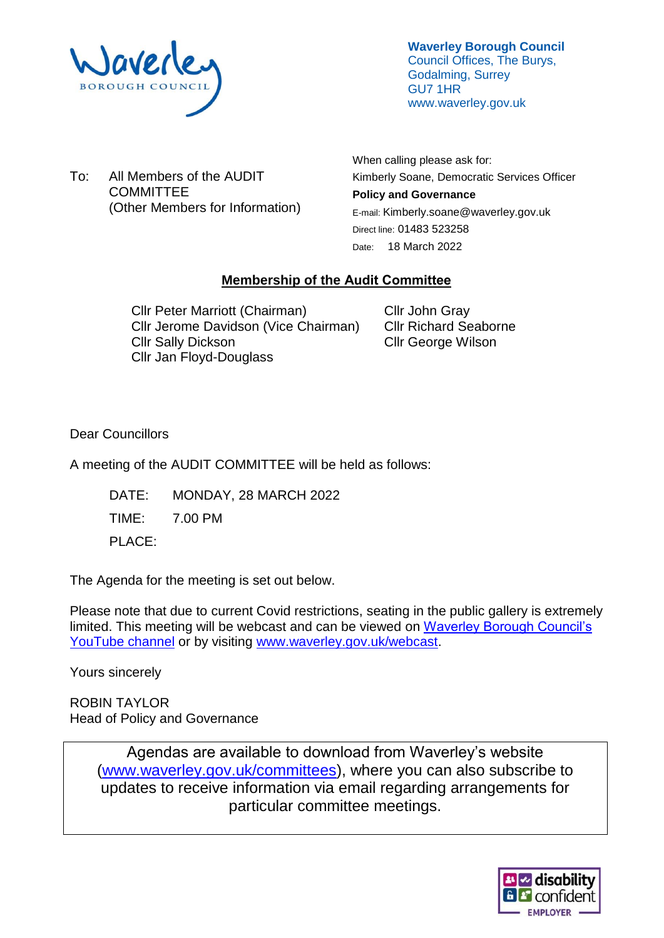

**Waverley Borough Council** Council Offices, The Burys, Godalming, Surrey GU7 1HR www.waverley.gov.uk

To: All Members of the AUDIT **COMMITTEE** (Other Members for Information) When calling please ask for: Kimberly Soane, Democratic Services Officer **Policy and Governance**  E-mail: Kimberly.soane@waverley.gov.uk Direct line: 01483 523258 Date: 18 March 2022

# **Membership of the Audit Committee**

Cllr Peter Marriott (Chairman) Cllr Jerome Davidson (Vice Chairman) Cllr Sally Dickson Cllr Jan Floyd-Douglass

Cllr John Gray Cllr Richard Seaborne Cllr George Wilson

Dear Councillors

A meeting of the AUDIT COMMITTEE will be held as follows:

DATE: MONDAY, 28 MARCH 2022

TIME: 7.00 PM

PLACE:

The Agenda for the meeting is set out below.

Please note that due to current Covid restrictions, seating in the public gallery is extremely limited. This meeting will be webcast and can be viewed on [Waverley Borough Council's](https://www.youtube.com/user/WaverleyBorough/videos)  [YouTube channel](https://www.youtube.com/user/WaverleyBorough/videos) or by visiting [www.waverley.gov.uk/webcast.](http://www.waverley.gov.uk/webcast)

Yours sincerely

ROBIN TAYLOR Head of Policy and Governance

> Agendas are available to download from Waverley's website [\(www.waverley.gov.uk/committees\)](http://www.waverley.gov.uk/committees), where you can also subscribe to updates to receive information via email regarding arrangements for particular committee meetings.

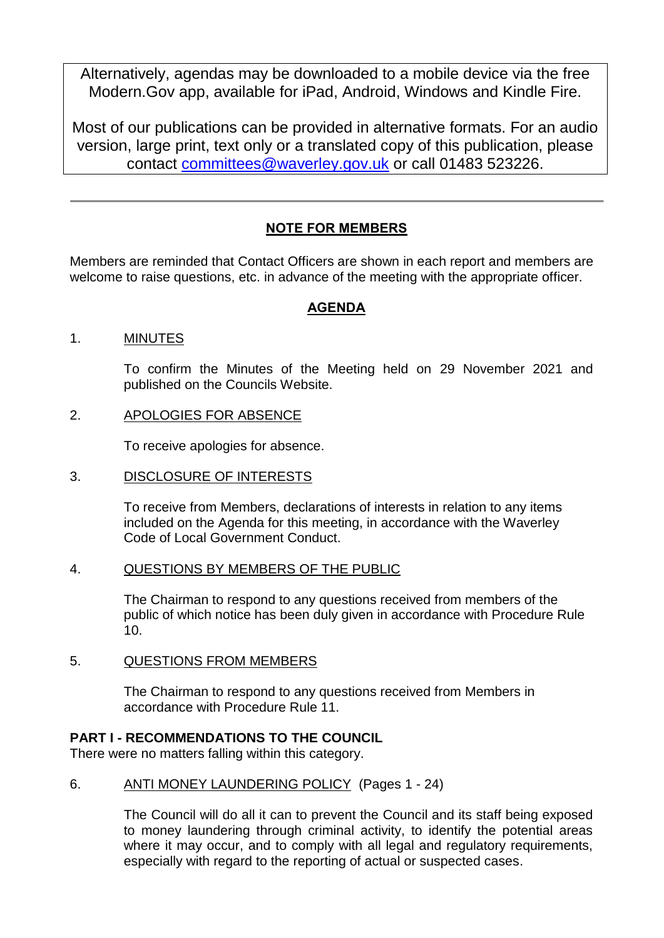Alternatively, agendas may be downloaded to a mobile device via the free Modern.Gov app, available for iPad, Android, Windows and Kindle Fire.

Most of our publications can be provided in alternative formats. For an audio version, large print, text only or a translated copy of this publication, please contact [committees@waverley.gov.uk](mailto:committees@waverley.gov.uk) or call 01483 523226.

# **NOTE FOR MEMBERS**

Members are reminded that Contact Officers are shown in each report and members are welcome to raise questions, etc. in advance of the meeting with the appropriate officer.

# **AGENDA**

## 1. MINUTES

To confirm the Minutes of the Meeting held on 29 November 2021 and published on the Councils Website.

#### 2. APOLOGIES FOR ABSENCE

To receive apologies for absence.

#### 3. DISCLOSURE OF INTERESTS

To receive from Members, declarations of interests in relation to any items included on the Agenda for this meeting, in accordance with the Waverley Code of Local Government Conduct.

#### 4. QUESTIONS BY MEMBERS OF THE PUBLIC

The Chairman to respond to any questions received from members of the public of which notice has been duly given in accordance with Procedure Rule 10.

#### 5. QUESTIONS FROM MEMBERS

The Chairman to respond to any questions received from Members in accordance with Procedure Rule 11.

## **PART I - RECOMMENDATIONS TO THE COUNCIL**

There were no matters falling within this category.

## 6. ANTI MONEY LAUNDERING POLICY (Pages 1 - 24)

The Council will do all it can to prevent the Council and its staff being exposed to money laundering through criminal activity, to identify the potential areas where it may occur, and to comply with all legal and regulatory requirements, especially with regard to the reporting of actual or suspected cases.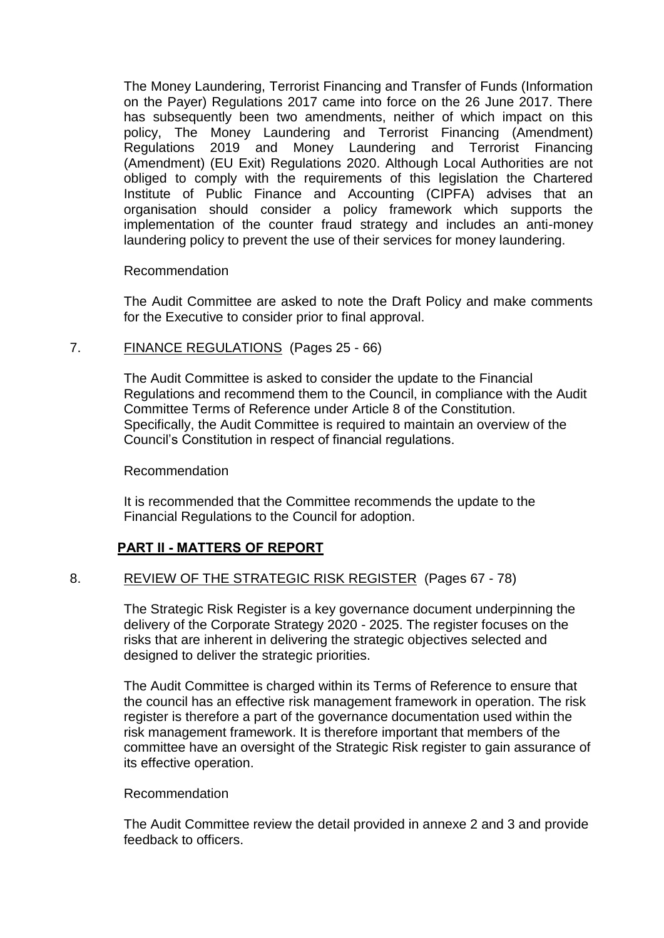The Money Laundering, Terrorist Financing and Transfer of Funds (Information on the Payer) Regulations 2017 came into force on the 26 June 2017. There has subsequently been two amendments, neither of which impact on this policy, The Money Laundering and Terrorist Financing (Amendment) Regulations 2019 and Money Laundering and Terrorist Financing (Amendment) (EU Exit) Regulations 2020. Although Local Authorities are not obliged to comply with the requirements of this legislation the Chartered Institute of Public Finance and Accounting (CIPFA) advises that an organisation should consider a policy framework which supports the implementation of the counter fraud strategy and includes an anti-money laundering policy to prevent the use of their services for money laundering.

#### Recommendation

The Audit Committee are asked to note the Draft Policy and make comments for the Executive to consider prior to final approval.

## 7. FINANCE REGULATIONS (Pages 25 - 66)

The Audit Committee is asked to consider the update to the Financial Regulations and recommend them to the Council, in compliance with the Audit Committee Terms of Reference under Article 8 of the Constitution. Specifically, the Audit Committee is required to maintain an overview of the Council's Constitution in respect of financial regulations.

#### Recommendation

It is recommended that the Committee recommends the update to the Financial Regulations to the Council for adoption.

## **PART II - MATTERS OF REPORT**

## 8. REVIEW OF THE STRATEGIC RISK REGISTER (Pages 67 - 78)

The Strategic Risk Register is a key governance document underpinning the delivery of the Corporate Strategy 2020 - 2025. The register focuses on the risks that are inherent in delivering the strategic objectives selected and designed to deliver the strategic priorities.

The Audit Committee is charged within its Terms of Reference to ensure that the council has an effective risk management framework in operation. The risk register is therefore a part of the governance documentation used within the risk management framework. It is therefore important that members of the committee have an oversight of the Strategic Risk register to gain assurance of its effective operation.

#### Recommendation

The Audit Committee review the detail provided in annexe 2 and 3 and provide feedback to officers.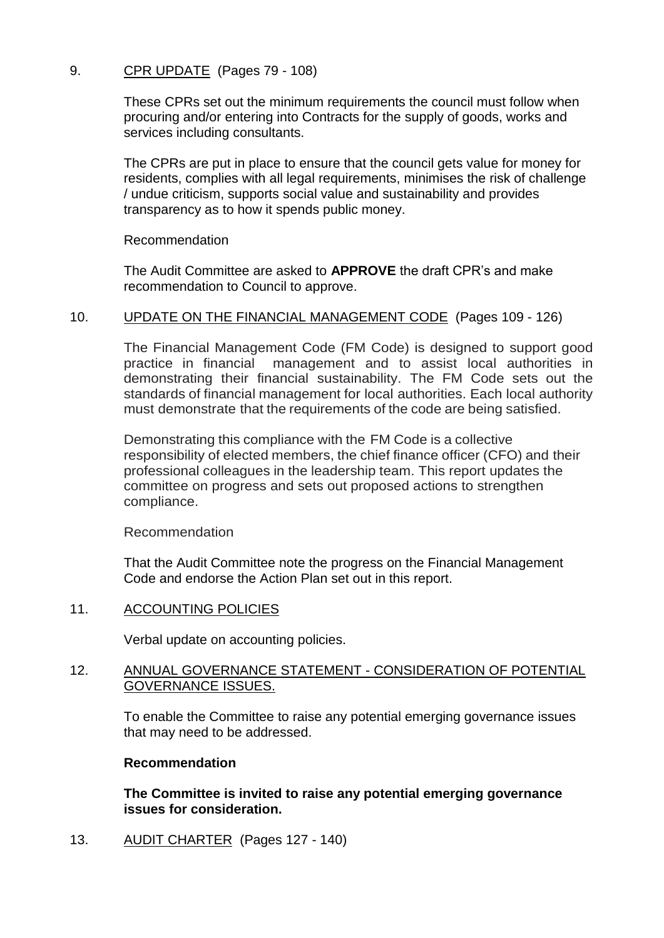# 9. CPR UPDATE (Pages 79 - 108)

These CPRs set out the minimum requirements the council must follow when procuring and/or entering into Contracts for the supply of goods, works and services including consultants.

The CPRs are put in place to ensure that the council gets value for money for residents, complies with all legal requirements, minimises the risk of challenge / undue criticism, supports social value and sustainability and provides transparency as to how it spends public money.

Recommendation

The Audit Committee are asked to **APPROVE** the draft CPR's and make recommendation to Council to approve.

## 10. UPDATE ON THE FINANCIAL MANAGEMENT CODE (Pages 109 - 126)

The Financial Management Code (FM Code) is designed to support good practice in financial management and to assist local authorities in demonstrating their financial sustainability. The FM Code sets out the standards of financial management for local authorities. Each local authority must demonstrate that the requirements of the code are being satisfied.

Demonstrating this compliance with the FM Code is a collective responsibility of elected members, the chief finance officer (CFO) and their professional colleagues in the leadership team. This report updates the committee on progress and sets out proposed actions to strengthen compliance.

Recommendation

That the Audit Committee note the progress on the Financial Management Code and endorse the Action Plan set out in this report.

## 11. ACCOUNTING POLICIES

Verbal update on accounting policies.

#### 12. ANNUAL GOVERNANCE STATEMENT - CONSIDERATION OF POTENTIAL GOVERNANCE ISSUES.

To enable the Committee to raise any potential emerging governance issues that may need to be addressed.

#### **Recommendation**

**The Committee is invited to raise any potential emerging governance issues for consideration.**

13. AUDIT CHARTER (Pages 127 - 140)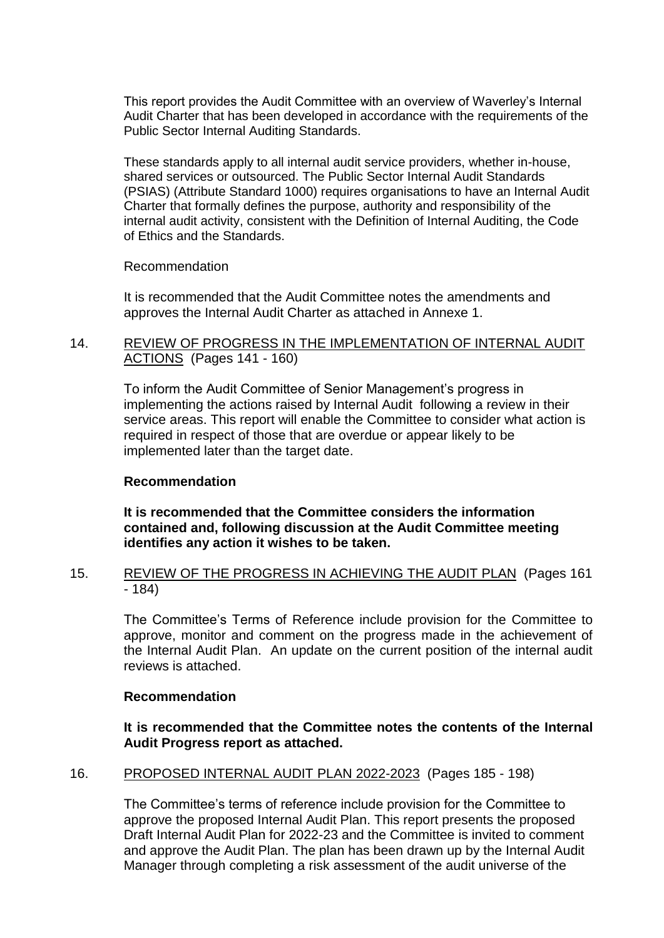This report provides the Audit Committee with an overview of Waverley's Internal Audit Charter that has been developed in accordance with the requirements of the Public Sector Internal Auditing Standards.

These standards apply to all internal audit service providers, whether in-house, shared services or outsourced. The Public Sector Internal Audit Standards (PSIAS) (Attribute Standard 1000) requires organisations to have an Internal Audit Charter that formally defines the purpose, authority and responsibility of the internal audit activity, consistent with the Definition of Internal Auditing, the Code of Ethics and the Standards.

Recommendation

It is recommended that the Audit Committee notes the amendments and approves the Internal Audit Charter as attached in Annexe 1.

# 14. REVIEW OF PROGRESS IN THE IMPLEMENTATION OF INTERNAL AUDIT ACTIONS (Pages 141 - 160)

To inform the Audit Committee of Senior Management's progress in implementing the actions raised by Internal Audit following a review in their service areas. This report will enable the Committee to consider what action is required in respect of those that are overdue or appear likely to be implemented later than the target date.

## **Recommendation**

**It is recommended that the Committee considers the information contained and, following discussion at the Audit Committee meeting identifies any action it wishes to be taken.**

# 15. REVIEW OF THE PROGRESS IN ACHIEVING THE AUDIT PLAN (Pages 161 - 184)

The Committee's Terms of Reference include provision for the Committee to approve, monitor and comment on the progress made in the achievement of the Internal Audit Plan. An update on the current position of the internal audit reviews is attached.

## **Recommendation**

**It is recommended that the Committee notes the contents of the Internal Audit Progress report as attached.**

# 16. PROPOSED INTERNAL AUDIT PLAN 2022-2023 (Pages 185 - 198)

The Committee's terms of reference include provision for the Committee to approve the proposed Internal Audit Plan. This report presents the proposed Draft Internal Audit Plan for 2022-23 and the Committee is invited to comment and approve the Audit Plan. The plan has been drawn up by the Internal Audit Manager through completing a risk assessment of the audit universe of the